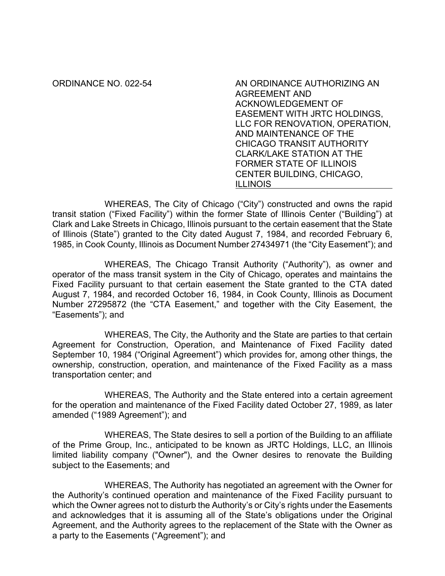ORDINANCE NO. 022-54 AN ORDINANCE AUTHORIZING AN AGREEMENT AND ACKNOWLEDGEMENT OF EASEMENT WITH JRTC HOLDINGS, LLC FOR RENOVATION, OPERATION, AND MAINTENANCE OF THE CHICAGO TRANSIT AUTHORITY CLARK/LAKE STATION AT THE FORMER STATE OF ILLINOIS CENTER BUILDING, CHICAGO, ILLINOIS

WHEREAS, The City of Chicago ("City") constructed and owns the rapid transit station ("Fixed Facility") within the former State of Illinois Center ("Building") at Clark and Lake Streets in Chicago, Illinois pursuant to the certain easement that the State of Illinois (State") granted to the City dated August 7, 1984, and recorded February 6, 1985, in Cook County, Illinois as Document Number 27434971 (the "City Easement"); and

WHEREAS, The Chicago Transit Authority ("Authority"), as owner and operator of the mass transit system in the City of Chicago, operates and maintains the Fixed Facility pursuant to that certain easement the State granted to the CTA dated August 7, 1984, and recorded October 16, 1984, in Cook County, Illinois as Document Number 27295872 (the "CTA Easement," and together with the City Easement, the "Easements"); and

WHEREAS, The City, the Authority and the State are parties to that certain Agreement for Construction, Operation, and Maintenance of Fixed Facility dated September 10, 1984 ("Original Agreement") which provides for, among other things, the ownership, construction, operation, and maintenance of the Fixed Facility as a mass transportation center; and

WHEREAS, The Authority and the State entered into a certain agreement for the operation and maintenance of the Fixed Facility dated October 27, 1989, as later amended ("1989 Agreement"); and

WHEREAS, The State desires to sell a portion of the Building to an affiliate of the Prime Group, Inc., anticipated to be known as JRTC Holdings, LLC, an Illinois limited liability company ("Owner"), and the Owner desires to renovate the Building subject to the Easements; and

WHEREAS, The Authority has negotiated an agreement with the Owner for the Authority's continued operation and maintenance of the Fixed Facility pursuant to which the Owner agrees not to disturb the Authority's or City's rights under the Easements and acknowledges that it is assuming all of the State's obligations under the Original Agreement, and the Authority agrees to the replacement of the State with the Owner as a party to the Easements ("Agreement"); and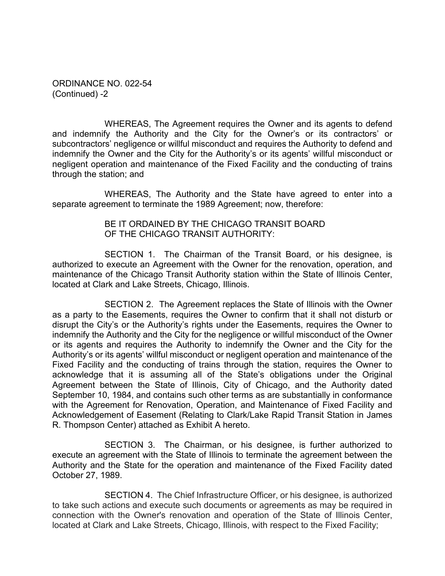ORDINANCE NO. 022-54 (Continued) -2

WHEREAS, The Agreement requires the Owner and its agents to defend and indemnify the Authority and the City for the Owner's or its contractors' or subcontractors' negligence or willful misconduct and requires the Authority to defend and indemnify the Owner and the City for the Authority's or its agents' willful misconduct or negligent operation and maintenance of the Fixed Facility and the conducting of trains through the station; and

WHEREAS, The Authority and the State have agreed to enter into a separate agreement to terminate the 1989 Agreement; now, therefore:

## BE IT ORDAINED BY THE CHICAGO TRANSIT BOARD OF THE CHICAGO TRANSIT AUTHORITY:

SECTION 1. The Chairman of the Transit Board, or his designee, is authorized to execute an Agreement with the Owner for the renovation, operation, and maintenance of the Chicago Transit Authority station within the State of Illinois Center, located at Clark and Lake Streets, Chicago, Illinois.

SECTION 2. The Agreement replaces the State of Illinois with the Owner as a party to the Easements, requires the Owner to confirm that it shall not disturb or disrupt the City's or the Authority's rights under the Easements, requires the Owner to indemnify the Authority and the City for the negligence or willful misconduct of the Owner or its agents and requires the Authority to indemnify the Owner and the City for the Authority's or its agents' willful misconduct or negligent operation and maintenance of the Fixed Facility and the conducting of trains through the station, requires the Owner to acknowledge that it is assuming all of the State's obligations under the Original Agreement between the State of Illinois, City of Chicago, and the Authority dated September 10, 1984, and contains such other terms as are substantially in conformance with the Agreement for Renovation, Operation, and Maintenance of Fixed Facility and Acknowledgement of Easement (Relating to Clark/Lake Rapid Transit Station in James R. Thompson Center) attached as Exhibit A hereto.

SECTION 3. The Chairman, or his designee, is further authorized to execute an agreement with the State of Illinois to terminate the agreement between the Authority and the State for the operation and maintenance of the Fixed Facility dated October 27, 1989.

SECTION 4. The Chief Infrastructure Officer, or his designee, is authorized to take such actions and execute such documents or agreements as may be required in connection with the Owner's renovation and operation of the State of Illinois Center, located at Clark and Lake Streets, Chicago, Illinois, with respect to the Fixed Facility;